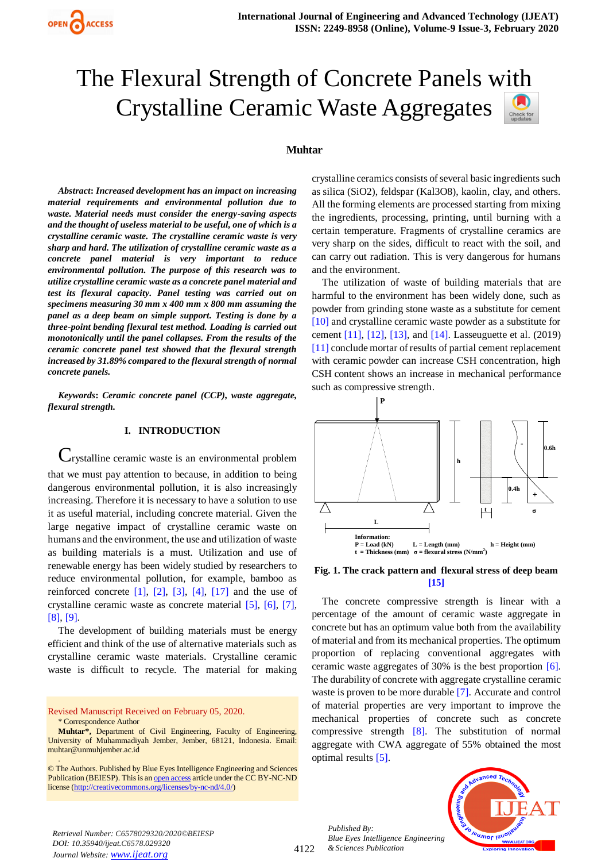# The Flexural Strength of Concrete Panels with Crystalline Ceramic Waste Aggregates

#### **Muhtar**

and the environment.

*Abstract***:** *Increased development has an impact on increasing material requirements and environmental pollution due to waste. Material needs must consider the energy-saving aspects and the thought of useless material to be useful, one of which is a crystalline ceramic waste. The crystalline ceramic waste is very sharp and hard. The utilization of crystalline ceramic waste as a concrete panel material is very important to reduce environmental pollution. The purpose of this research was to utilize crystalline ceramic waste as a concrete panel material and test its flexural capacity. Panel testing was carried out on specimens measuring 30 mm x 400 mm x 800 mm assuming the panel as a deep beam on simple support. Testing is done by a three-point bending flexural test method. Loading is carried out monotonically until the panel collapses. From the results of the ceramic concrete panel test showed that the flexural strength increased by 31.89% compared to the flexural strength of normal concrete panels.*

*Keywords***:** *Ceramic concrete panel (CCP), waste aggregate, flexural strength.* 

# **I. INTRODUCTION**

Crystalline ceramic waste is an environmental problem that we must pay attention to because, in addition to being dangerous environmental pollution, it is also increasingly increasing. Therefore it is necessary to have a solution to use it as useful material, including concrete material. Given the large negative impact of crystalline ceramic waste on humans and the environment, the use and utilization of waste as building materials is a must. Utilization and use of renewable energy has been widely studied by researchers to reduce environmental pollution, for example, bamboo as reinforced concrete  $[1]$ ,  $[2]$ ,  $[3]$ ,  $[4]$ ,  $[17]$  and the use of crystalline ceramic waste as concrete material [5], [6], [7], [8], [9].

The development of building materials must be energy efficient and think of the use of alternative materials such as crystalline ceramic waste materials. Crystalline ceramic waste is difficult to recycle. The material for making

Revised Manuscript Received on February 05, 2020.

crystalline ceramics consists of several basic ingredients such as silica (SiO2), feldspar (Kal3O8), kaolin, clay, and others. All the forming elements are processed starting from mixing the ingredients, processing, printing, until burning with a certain temperature. Fragments of crystalline ceramics are very sharp on the sides, difficult to react with the soil, and can carry out radiation. This is very dangerous for humans

The utilization of waste of building materials that are harmful to the environment has been widely done, such as powder from grinding stone waste as a substitute for cement [10] and crystalline ceramic waste powder as a substitute for cement [11], [12], [13], and [14]. Lasseuguette et al. (2019) [11] conclude mortar of results of partial cement replacement with ceramic powder can increase CSH concentration, high CSH content shows an increase in mechanical performance such as compressive strength.



#### <span id="page-0-0"></span>**Fig. 1. The crack pattern and flexural stress of deep beam [15]**

The concrete compressive strength is linear with a percentage of the amount of ceramic waste aggregate in concrete but has an optimum value both from the availability of material and from its mechanical properties. The optimum proportion of replacing conventional aggregates with ceramic waste aggregates of 30% is the best proportion [6]. The durability of concrete with aggregate crystalline ceramic waste is proven to be more durable [7]. Accurate and control of material properties are very important to improve the mechanical properties of concrete such as concrete compressive strength [8]. The substitution of normal aggregate with CWA aggregate of 55% obtained the most optimal results [5].

*Published By: Blue Eyes Intelligence Engineering & Sciences Publication* 



*Retrieval Number: C6578029320/2020©BEIESP DOI: 10.35940/ijeat.C6578.029320 Journal Website: www.ijeat.org*

<sup>\*</sup> Correspondence Author

**Muhtar\*,** Department of Civil Engineering, Faculty of Engineering, University of Muhammadiyah Jember, Jember, 68121, Indonesia. Email: [muhtar@unmuhjember.ac.id](mailto:muhtar@unmuhjember.ac.id) .

<sup>©</sup> The Authors. Published by Blue Eyes Intelligence Engineering and Sciences Publication (BEIESP). This is a[n open access](https://www.openaccess.nl/en/open-publications) article under the CC BY-NC-ND license [\(http://creativecommons.org/licenses/by-nc-nd/4.0/\)](http://creativecommons.org/licenses/by-nc-nd/4.0/)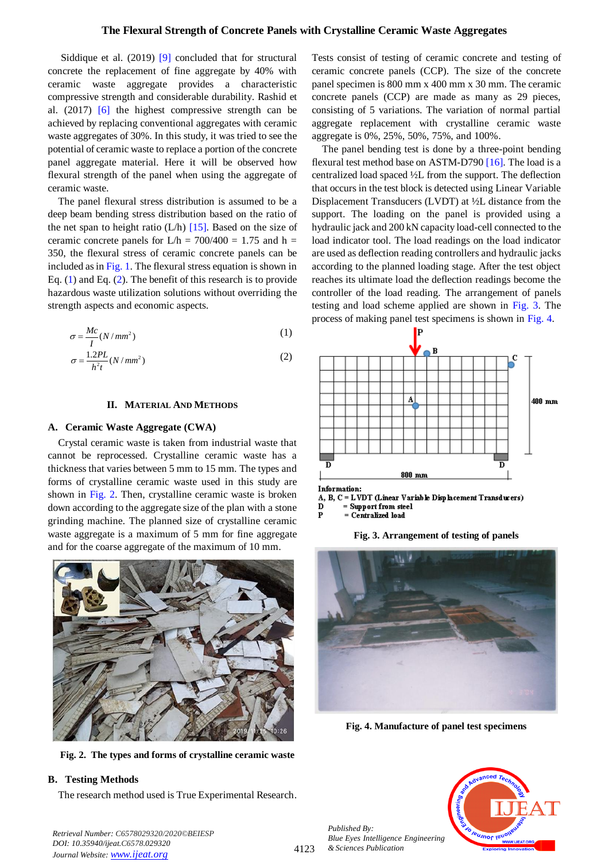## **The Flexural Strength of Concrete Panels with Crystalline Ceramic Waste Aggregates**

Siddique et al. (2019) [9] concluded that for structural concrete the replacement of fine aggregate by 40% with ceramic waste aggregate provides a characteristic compressive strength and considerable durability. Rashid et al. (2017) [6] the highest compressive strength can be achieved by replacing conventional aggregates with ceramic waste aggregates of 30%. In this study, it was tried to see the potential of ceramic waste to replace a portion of the concrete panel aggregate material. Here it will be observed how flexural strength of the panel when using the aggregate of ceramic waste.

The panel flexural stress distribution is assumed to be a deep beam bending stress distribution based on the ratio of the net span to height ratio  $(L/h)$  [15]. Based on the size of ceramic concrete panels for  $L/h = 700/400 = 1.75$  and h = 350, the flexural stress of ceramic concrete panels can be included as in [Fig. 1.](#page-0-0) The flexural stress equation is shown in Eq. [\(1\)](#page-1-0) and Eq. [\(2\)](#page-1-1). The benefit of this research is to provide hazardous waste utilization solutions without overriding the strength aspects and economic aspects.

$$
\sigma = \frac{Mc}{I}(N/mm^2)
$$
 (1)

$$
\sigma = \frac{1.2PL}{h^2 t} (N/mm^2)
$$
 (2)

#### **II. MATERIAL AND METHODS**

#### **A. Ceramic Waste Aggregate (CWA)**

Crystal ceramic waste is taken from industrial waste that cannot be reprocessed. Crystalline ceramic waste has a thickness that varies between 5 mm to 15 mm. The types and forms of crystalline ceramic waste used in this study are shown in [Fig. 2.](#page-1-2) Then, crystalline ceramic waste is broken down according to the aggregate size of the plan with a stone grinding machine. The planned size of crystalline ceramic waste aggregate is a maximum of 5 mm for fine aggregate and for the coarse aggregate of the maximum of 10 mm.



**Fig. 2. The types and forms of crystalline ceramic waste**

# <span id="page-1-2"></span>**B. Testing Methods**

The research method used is True Experimental Research.

Tests consist of testing of ceramic concrete and testing of ceramic concrete panels (CCP). The size of the concrete panel specimen is 800 mm x 400 mm x 30 mm. The ceramic concrete panels (CCP) are made as many as 29 pieces, consisting of 5 variations. The variation of normal partial aggregate replacement with crystalline ceramic waste aggregate is 0%, 25%, 50%, 75%, and 100%.

The panel bending test is done by a three-point bending flexural test method base on ASTM-D790 [16]. The load is a centralized load spaced ½L from the support. The deflection that occurs in the test block is detected using Linear Variable Displacement Transducers (LVDT) at ½L distance from the support. The loading on the panel is provided using a hydraulic jack and 200 kN capacity load-cell connected to the load indicator tool. The load readings on the load indicator are used as deflection reading controllers and hydraulic jacks according to the planned loading stage. After the test object reaches its ultimate load the deflection readings become the controller of the load reading. The arrangement of panels testing and load scheme applied are shown in [Fig.](#page-1-3) 3. The process of making panel test specimens is shown in [Fig. 4.](#page-1-4)

<span id="page-1-1"></span><span id="page-1-0"></span>



<span id="page-1-3"></span>

**Fig. 4. Manufacture of panel test specimens**

<span id="page-1-4"></span>

*Retrieval Number: C6578029320/2020©BEIESP DOI: 10.35940/ijeat.C6578.029320 Journal Website: www.ijeat.org*

*Published By:*

*& Sciences Publication*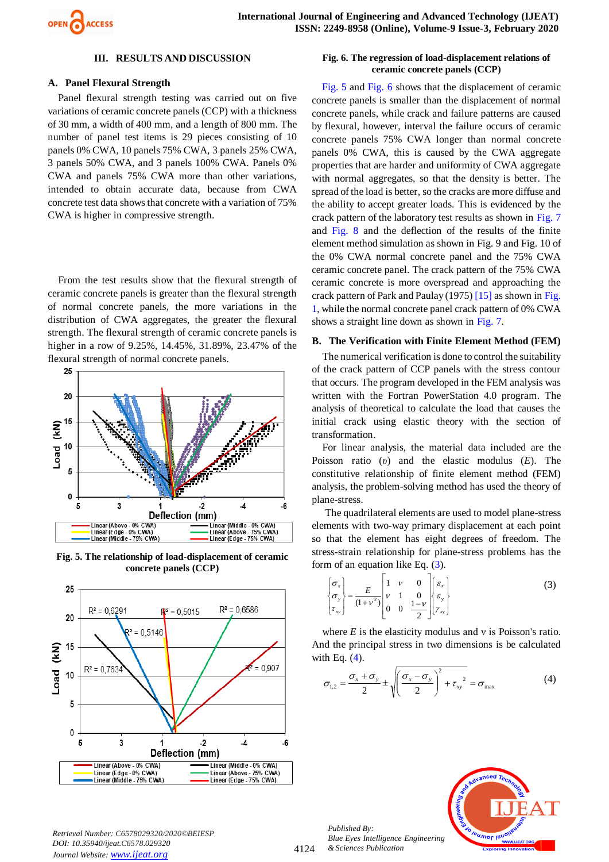

#### **III. RESULTS AND DISCUSSION**

#### **A. Panel Flexural Strength**

Panel flexural strength testing was carried out on five variations of ceramic concrete panels (CCP) with a thickness of 30 mm, a width of 400 mm, and a length of 800 mm. The number of panel test items is 29 pieces consisting of 10 panels 0% CWA, 10 panels 75% CWA, 3 panels 25% CWA, 3 panels 50% CWA, and 3 panels 100% CWA. Panels 0% CWA and panels 75% CWA more than other variations, intended to obtain accurate data, because from CWA concrete test data shows that concrete with a variation of 75% CWA is higher in compressive strength.

From the test results show that the flexural strength of ceramic concrete panels is greater than the flexural strength of normal concrete panels, the more variations in the distribution of CWA aggregates, the greater the flexural strength. The flexural strength of ceramic concrete panels is higher in a row of 9.25%, 14.45%, 31.89%, 23.47% of the flexural strength of normal concrete panels.



<span id="page-2-0"></span>**Fig. 5. The relationship of load-displacement of ceramic concrete panels (CCP)** 



#### <span id="page-2-1"></span>**Fig. 6. The regression of load-displacement relations of ceramic concrete panels (CCP)**

[Fig. 5](#page-2-0) and [Fig. 6](#page-2-1) shows that the displacement of ceramic concrete panels is smaller than the displacement of normal concrete panels, while crack and failure patterns are caused by flexural, however, interval the failure occurs of ceramic concrete panels 75% CWA longer than normal concrete panels 0% CWA, this is caused by the CWA aggregate properties that are harder and uniformity of CWA aggregate with normal aggregates, so that the density is better. The spread of the load is better, so the cracks are more diffuse and the ability to accept greater loads. This is evidenced by the crack pattern of the laboratory test results as shown in [Fig. 7](#page-3-0) and [Fig. 8](#page-3-1) and the deflection of the results of the finite element method simulation as shown in Fig. 9 and Fig. 10 of the 0% CWA normal concrete panel and the 75% CWA ceramic concrete panel. The crack pattern of the 75% CWA ceramic concrete is more overspread and approaching the crack pattern of Park and Paulay (1975) [15] as shown i[n Fig.](#page-0-0)  [1,](#page-0-0) while the normal concrete panel crack pattern of 0% CWA shows a straight line down as shown in [Fig. 7.](#page-3-0)

#### **B. The Verification with Finite Element Method (FEM)**

The numerical verification is done to control the suitability of the crack pattern of CCP panels with the stress contour that occurs. The program developed in the FEM analysis was written with the Fortran PowerStation 4.0 program. The analysis of theoretical to calculate the load that causes the initial crack using elastic theory with the section of transformation.

For linear analysis, the material data included are the Poisson ratio (*υ*) and the elastic modulus (*E*). The constitutive relationship of finite element method (FEM) analysis, the problem-solving method has used the theory of plane-stress.

The quadrilateral elements are used to model plane-stress elements with two-way primary displacement at each point so that the element has eight degrees of freedom. The stress-strain relationship for plane-stress problems has the form of an equation like Eq. [\(3\)](#page-2-2).

$$
\begin{Bmatrix} \sigma_x \\ \sigma_y \\ \tau_{xy} \end{Bmatrix} = \frac{E}{(1+\nu^2)} \begin{bmatrix} 1 & \nu & 0 \\ \nu & 1 & 0 \\ 0 & 0 & \frac{1-\nu}{2} \end{bmatrix} \begin{bmatrix} \varepsilon_x \\ \varepsilon_y \\ \gamma_{xy} \end{bmatrix}
$$
 (3)

where  $E$  is the elasticity modulus and  $v$  is Poisson's ratio. And the principal stress in two dimensions is be calculated with Eq.  $(4)$ .

$$
\sigma_{1,2} = \frac{\sigma_x + \sigma_y}{2} \pm \sqrt{\left(\frac{\sigma_x - \sigma_y}{2}\right)^2 + \tau_{xy}^2} = \sigma_{\text{max}}
$$
(4)

<span id="page-2-3"></span><span id="page-2-2"></span>

*Retrieval Number: C6578029320/2020©BEIESP DOI: 10.35940/ijeat.C6578.029320 Journal Website: www.ijeat.org*

*Published By: Blue Eyes Intelligence Engineering & Sciences Publication*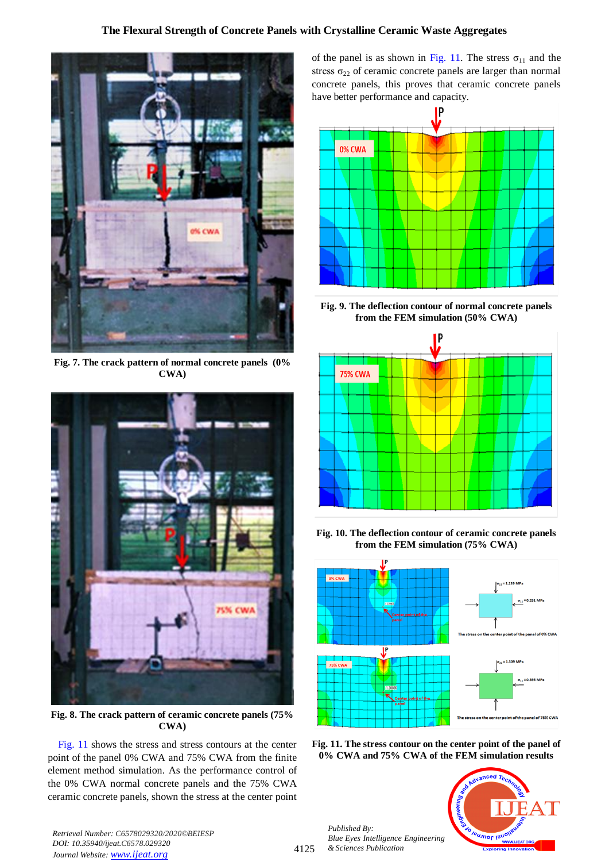# **The Flexural Strength of Concrete Panels with Crystalline Ceramic Waste Aggregates**



**Fig. 7. The crack pattern of normal concrete panels (0% CWA)**

<span id="page-3-0"></span>

**Fig. 8. The crack pattern of ceramic concrete panels (75% CWA)**

<span id="page-3-1"></span>[Fig. 11](#page-3-2) shows the stress and stress contours at the center point of the panel 0% CWA and 75% CWA from the finite element method simulation. As the performance control of the 0% CWA normal concrete panels and the 75% CWA ceramic concrete panels, shown the stress at the center point of the panel is as shown in [Fig. 11.](#page-3-2) The stress  $\sigma_{11}$  and the stress  $\sigma_{22}$  of ceramic concrete panels are larger than normal concrete panels, this proves that ceramic concrete panels have better performance and capacity.



**Fig. 9. The deflection contour of normal concrete panels from the FEM simulation (50% CWA)**



**Fig. 10. The deflection contour of ceramic concrete panels from the FEM simulation (75% CWA)**



<span id="page-3-2"></span>

*Published By: Blue Eyes Intelligence Engineering & Sciences Publication* 



*Retrieval Number: C6578029320/2020©BEIESP DOI: 10.35940/ijeat.C6578.029320 Journal Website: www.ijeat.org*